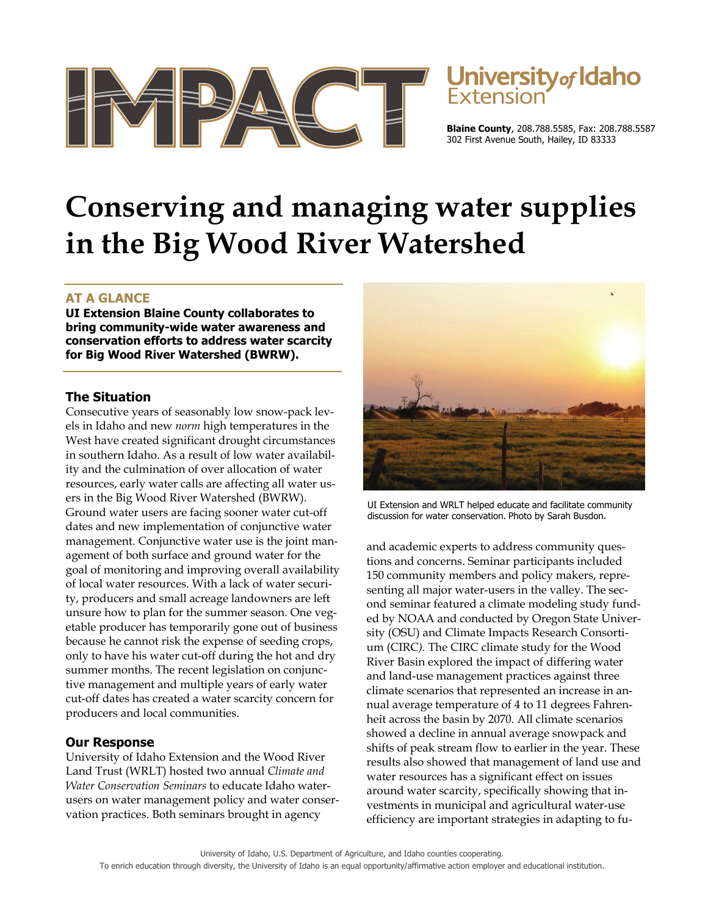

# **Jniversity** of Idaho

**Blaine County**, 208.788.5585, Fax: 208.788.5587 302 First Avenue South, Hailey, ID 83333

# **Conserving and managing water supplies in the Big Wood River Watershed**

# **AT A GLANCE**

**UI Extension Blaine County collaborates to bring community-wide water awareness and conservation efforts to address water scarcity for Big Wood River Watershed (BWRW).** 

## **The Situation**

Consecutive years of seasonably low snow-pack levels in Idaho and new *norm* high temperatures in the West have created significant drought circumstances in southern Idaho. As a result of low water availability and the culmination of over allocation of water resources, early water calls are affecting all water users in the Big Wood River Watershed (BWRW). Ground water users are facing sooner water cut-off dates and new implementation of conjunctive water management. Conjunctive water use is the joint management of both surface and ground water for the goal of monitoring and improving overall availability of local water resources. With a lack of water security, producers and small acreage landowners are left unsure how to plan for the summer season. One vegetable producer has temporarily gone out of business because he cannot risk the expense of seeding crops, only to have his water cut-off during the hot and dry summer months. The recent legislation on conjunctive management and multiple years of early water cut-off dates has created a water scarcity concern for producers and local communities.

## **Our Response**

University of Idaho Extension and the Wood River Land Trust (WRLT) hosted two annual *Climate and Water Conservation Seminars* to educate Idaho waterusers on water management policy and water conservation practices. Both seminars brought in agency



UI Extension and WRLT helped educate and facilitate community discussion for water conservation. Photo by Sarah Busdon.

and academic experts to address community questions and concerns. Seminar participants included 150 community members and policy makers, representing all major water-users in the valley. The second seminar featured a climate modeling study funded by NOAA and conducted by Oregon State University (OSU) and Climate Impacts Research Consortium (CIRC*).* The CIRC climate study for the Wood River Basin explored the impact of differing water and land-use management practices against three climate scenarios that represented an increase in annual average temperature of 4 to 11 degrees Fahrenheit across the basin by 2070. All climate scenarios showed a decline in annual average snowpack and shifts of peak stream flow to earlier in the year. These results also showed that management of land use and water resources has a significant effect on issues around water scarcity, specifically showing that investments in municipal and agricultural water-use efficiency are important strategies in adapting to fu